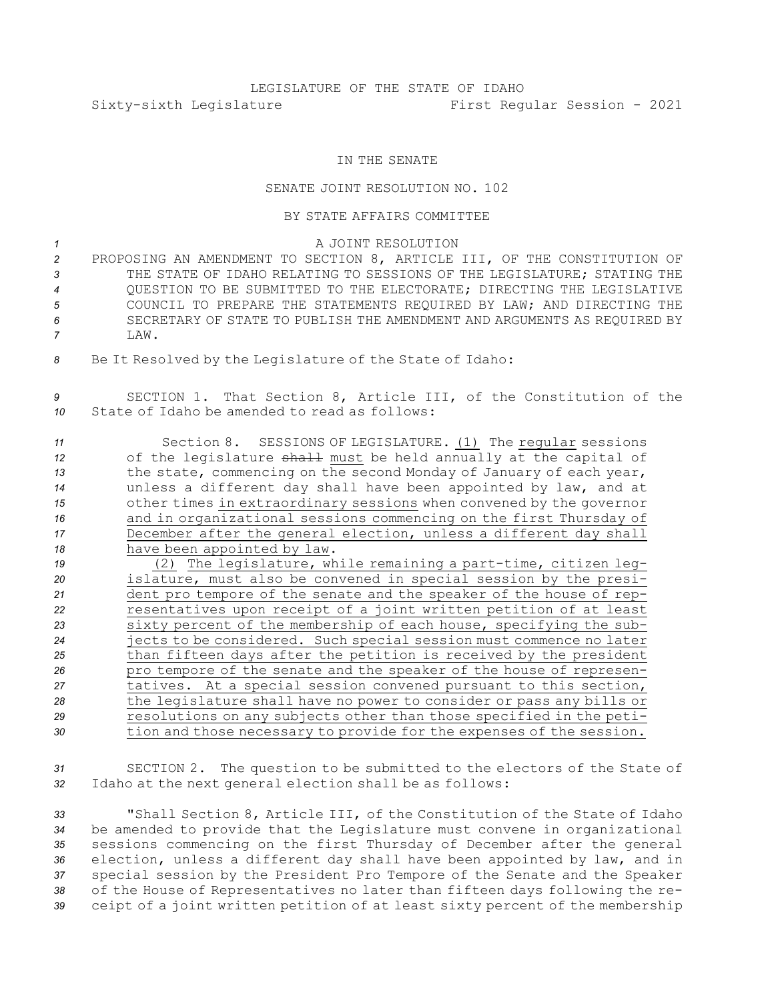## IN THE SENATE

## SENATE JOINT RESOLUTION NO. 102

## BY STATE AFFAIRS COMMITTEE

*1* A JOINT RESOLUTION

- *<sup>2</sup>* PROPOSING AN AMENDMENT TO SECTION 8, ARTICLE III, OF THE CONSTITUTION OF *3* THE STATE OF IDAHO RELATING TO SESSIONS OF THE LEGISLATURE; STATING THE *4* QUESTION TO BE SUBMITTED TO THE ELECTORATE; DIRECTING THE LEGISLATIVE *5* COUNCIL TO PREPARE THE STATEMENTS REQUIRED BY LAW; AND DIRECTING THE *6* SECRETARY OF STATE TO PUBLISH THE AMENDMENT AND ARGUMENTS AS REQUIRED BY *7* LAW.
- *<sup>8</sup>* Be It Resolved by the Legislature of the State of Idaho:
- *<sup>9</sup>* SECTION 1. That Section 8, Article III, of the Constitution of the *10* State of Idaho be amended to read as follows:
- *<sup>11</sup>* Section 8. SESSIONS OF LEGISLATURE. (1) The regular sessions 12 of the legislature shall must be held annually at the capital of *<sup>13</sup>* the state, commencing on the second Monday of January of each year, *<sup>14</sup>* unless <sup>a</sup> different day shall have been appointed by law, and at *<sup>15</sup>* other times in extraordinary sessions when convened by the governor *<sup>16</sup>* and in organizational sessions commencing on the first Thursday of *<sup>17</sup>* December after the general election, unless <sup>a</sup> different day shall *<sup>18</sup>* have been appointed by law.
- *<sup>19</sup>* (2) The legislature, while remaining <sup>a</sup> part-time, citizen leg-*<sup>20</sup>* islature, must also be convened in special session by the presi-*<sup>21</sup>* dent pro tempore of the senate and the speaker of the house of rep-*<sup>22</sup>* resentatives upon receipt of <sup>a</sup> joint written petition of at least *<sup>23</sup>* sixty percent of the membership of each house, specifying the sub-*<sup>24</sup>* jects to be considered. Such special session must commence no later *<sup>25</sup>* than fifteen days after the petition is received by the president *<sup>26</sup>* pro tempore of the senate and the speaker of the house of represen-*<sup>27</sup>* tatives. At <sup>a</sup> special session convened pursuant to this section, *<sup>28</sup>* the legislature shall have no power to consider or pass any bills or *<sup>29</sup>* resolutions on any subjects other than those specified in the peti-*<sup>30</sup>* tion and those necessary to provide for the expenses of the session.
- *<sup>31</sup>* SECTION 2. The question to be submitted to the electors of the State of *<sup>32</sup>* Idaho at the next general election shall be as follows:
- *<sup>33</sup>* "Shall Section 8, Article III, of the Constitution of the State of Idaho *<sup>34</sup>* be amended to provide that the Legislature must convene in organizational *<sup>35</sup>* sessions commencing on the first Thursday of December after the general *<sup>36</sup>* election, unless <sup>a</sup> different day shall have been appointed by law, and in *<sup>37</sup>* special session by the President Pro Tempore of the Senate and the Speaker *<sup>38</sup>* of the House of Representatives no later than fifteen days following the re-*<sup>39</sup>* ceipt of <sup>a</sup> joint written petition of at least sixty percent of the membership